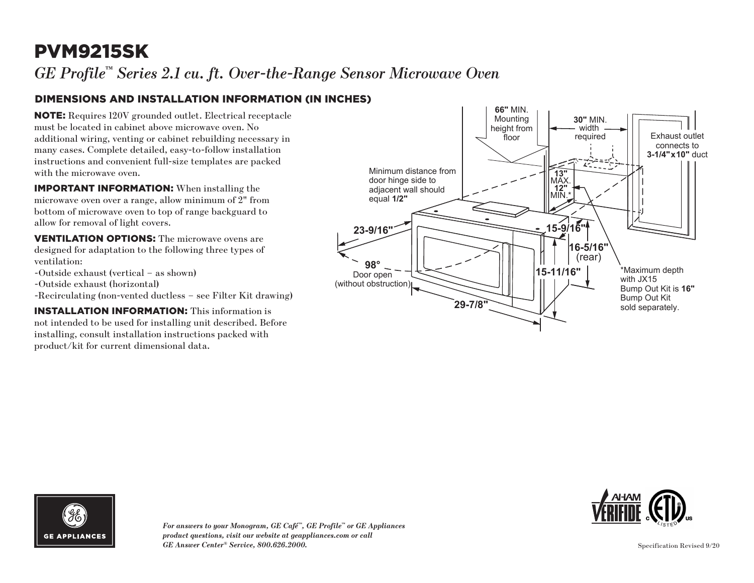# PVM9215SK

*GE Profile™ Series 2.1 cu. ft. Over-the-Range Sensor Microwave Oven*

### DIMENSIONS AND INSTALLATION INFORMATION (IN INCHES)

NOTE: Requires 120V grounded outlet. Electrical receptacle must be located in cabinet above microwave oven. No additional wiring, venting or cabinet rebuilding necessary in many cases. Complete detailed, easy-to-follow installation instructions and convenient full-size templates are packed with the microwave oven.

IMPORTANT INFORMATION: When installing the microwave oven over a range, allow minimum of 2" from bottom of microwave oven to top of range backguard to allow for removal of light covers.

VENTILATION OPTIONS: The microwave ovens are designed for adaptation to the following three types of ventilation:

- -Outside exhaust (vertical as shown)
- -Outside exhaust (horizontal)
- -Recirculating (non-vented ductless see Filter Kit drawing)

INSTALLATION INFORMATION: This information is not intended to be used for installing unit described. Before installing, consult installation instructions packed with product/kit for current dimensional data.







*For answers to your Monogram, GE Café™, GE Profile™ or GE Appliances product questions, visit our website at geappliances.com or call GE Answer Center® Service, 800.626.2000.*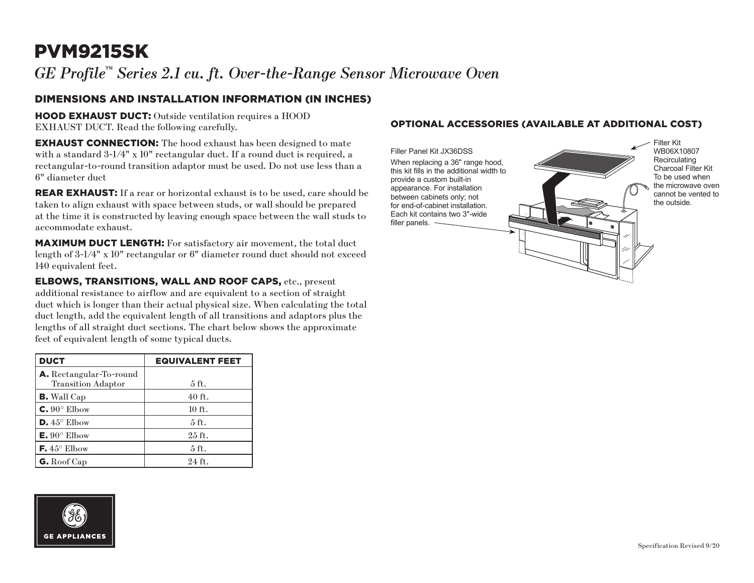# PVM9215SK

*GE Profile™ Series 2.1 cu. ft. Over-the-Range Sensor Microwave Oven*

#### DIMENSIONS AND INSTALLATION INFORMATION (IN INCHES)

HOOD EXHAUST DUCT: Outside ventilation requires a HOOD EXHAUST DUCT. Read the following carefully.

**EXHAUST CONNECTION:** The hood exhaust has been designed to mate with a standard 3-1/4" x 10" rectangular duct. If a round duct is required, a rectangular-to-round transition adaptor must be used. Do not use less than a 6" diameter duct

**REAR EXHAUST:** If a rear or horizontal exhaust is to be used, care should be taken to align exhaust with space between studs, or wall should be prepared at the time it is constructed by leaving enough space between the wall studs to accommodate exhaust.

MAXIMUM DUCT LENGTH: For satisfactory air movement, the total duct length of 3-1/4" x 10" rectangular or 6" diameter round duct should not exceed 140 equivalent feet.

ELBOWS, TRANSITIONS, WALL AND ROOF CAPS, etc., present additional resistance to airflow and are equivalent to a section of straight duct which is longer than their actual physical size. When calculating the total duct length, add the equivalent length of all transitions and adaptors plus the lengths of all straight duct sections. The chart below shows the approximate feet of equivalent length of some typical ducts.

| <b>DUCT</b>                                                 | <b>EQUIVALENT FEET</b> |
|-------------------------------------------------------------|------------------------|
| <b>A.</b> Rectangular-To-round<br><b>Transition Adaptor</b> | $5$ ft.                |
| <b>B.</b> Wall Cap                                          | $40$ ft.               |
| $C. 90^\circ$ Elbow                                         | $10$ ft.               |
| $D.45^{\circ}$ Elbow                                        | $5$ ft.                |
| $E. 90^{\circ}$ Elbow                                       | $25$ ft.               |
| <b>F.</b> $45^{\circ}$ Elbow                                | 5 <sub>ft</sub>        |
| G. Roof Cap                                                 | $24$ ft.               |